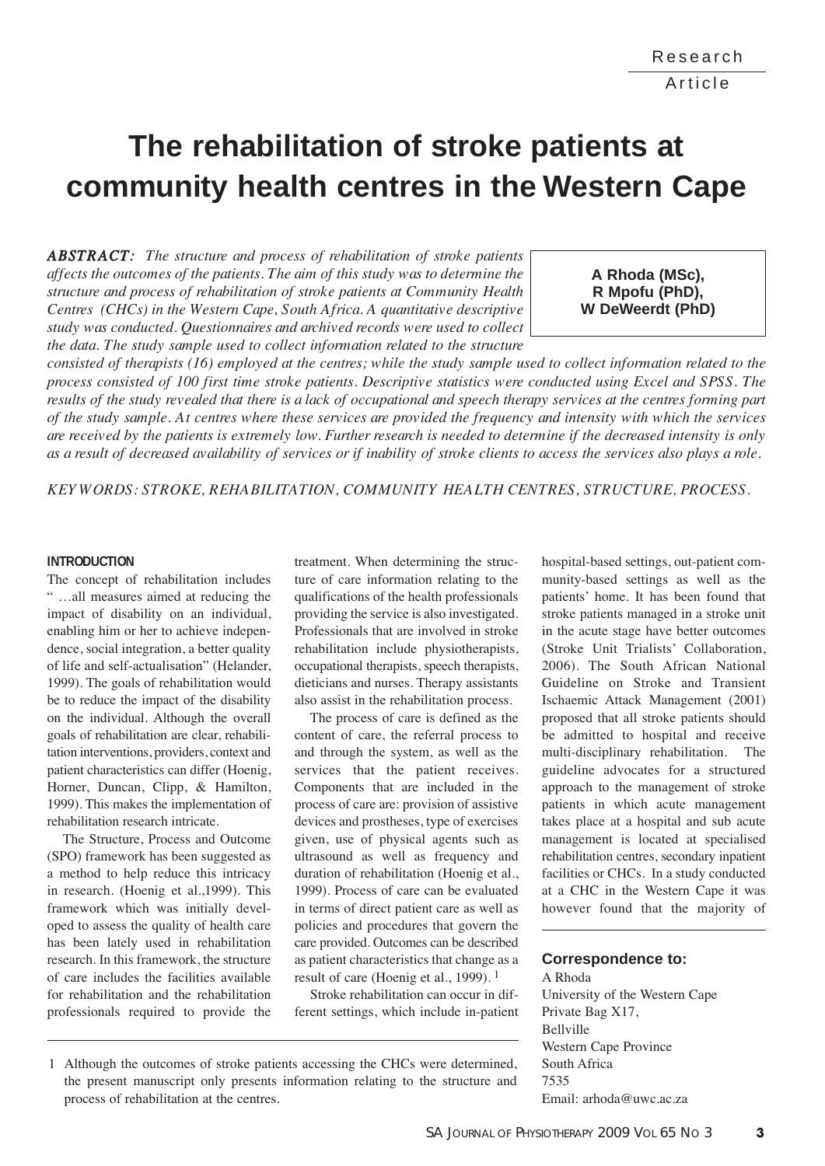# **The rehabilitation of stroke patients at community health centres in the Western Cape**

*ABSTRACT: The structure and process of rehabilitation of stroke patients affects the outcomes of the patients. The aim of this study was to determine the structure and process of rehabilitation of stroke patients at Community Health Centres (CHCs) in the Western Cape, South Africa. A quantitative descriptive study was conducted. Questionnaires and archived records were used to collect the data. The study sample used to collect information related to the structure*

**A Rhoda (MSc), R Mpofu (PhD), W DeWeerdt (PhD)**

*consisted of therapists (16) employed at the centres; while the study sample used to collect information related to the process consisted of 100 first time stroke patients. Descriptive statistics were conducted using Excel and SPSS. The results of the study revealed that there is a lack of occupational and speech therapy services at the centres forming part of the study sample. At centres where these services are provided the frequency and intensity with which the services are received by the patients is extremely low. Further research is needed to determine if the decreased intensity is only as a result of decreased availability of services or if inability of stroke clients to access the services also plays a role.*

*KEY WORDS: STROKE, REHABILITATION, COMMUNITY HEALTH CENTRES, STRUCTURE, PROCESS.* 

#### **INTRODUCTION**

The concept of rehabilitation includes " …all measures aimed at reducing the impact of disability on an individual, enabling him or her to achieve independence, social integration, a better quality of life and self-actualisation" (Helander, 1999). The goals of rehabilitation would be to reduce the impact of the disability on the individual. Although the overall goals of rehabilitation are clear, rehabilitation interventions, providers, context and patient characteristics can differ (Hoenig, Horner, Duncan, Clipp, & Hamilton, 1999). This makes the implementation of rehabilitation research intricate.

The Structure, Process and Outcome (SPO) framework has been suggested as a method to help reduce this intricacy in research. (Hoenig et al.,1999). This framework which was initially developed to assess the quality of health care has been lately used in rehabilitation research. In this framework, the structure of care includes the facilities available for rehabilitation and the rehabilitation professionals required to provide the

treatment. When determining the structure of care information relating to the qualifications of the health professionals providing the service is also investigated. Professionals that are involved in stroke rehabilitation include physiotherapists, occupational therapists, speech therapists, dieticians and nurses. Therapy assistants also assist in the rehabilitation process.

The process of care is defined as the content of care, the referral process to and through the system, as well as the services that the patient receives. Components that are included in the process of care are: provision of assistive devices and prostheses, type of exercises given, use of physical agents such as ultrasound as well as frequency and duration of rehabilitation (Hoenig et al., 1999). Process of care can be evaluated in terms of direct patient care as well as policies and procedures that govern the care provided. Outcomes can be described as patient characteristics that change as a result of care (Hoenig et al., 1999). 1

Stroke rehabilitation can occur in different settings, which include in-patient hospital-based settings, out-patient community-based settings as well as the

#### **Correspondence to:**

A Rhoda University of the Western Cape Private Bag X17, Bellville Western Cape Province South Africa 7535 Email: arhoda@uwc.ac.za

patients' home. It has been found that stroke patients managed in a stroke unit in the acute stage have better outcomes (Stroke Unit Trialists' Collaboration, 2006). The South African National Guideline on Stroke and Transient Ischaemic Attack Management (2001) proposed that all stroke patients should be admitted to hospital and receive multi-disciplinary rehabilitation. The guideline advocates for a structured approach to the management of stroke patients in which acute management takes place at a hospital and sub acute management is located at specialised rehabilitation centres, secondary inpatient facilities or CHCs. In a study conducted at a CHC in the Western Cape it was however found that the majority of

<sup>1</sup> Although the outcomes of stroke patients accessing the CHCs were determined, the present manuscript only presents information relating to the structure and process of rehabilitation at the centres.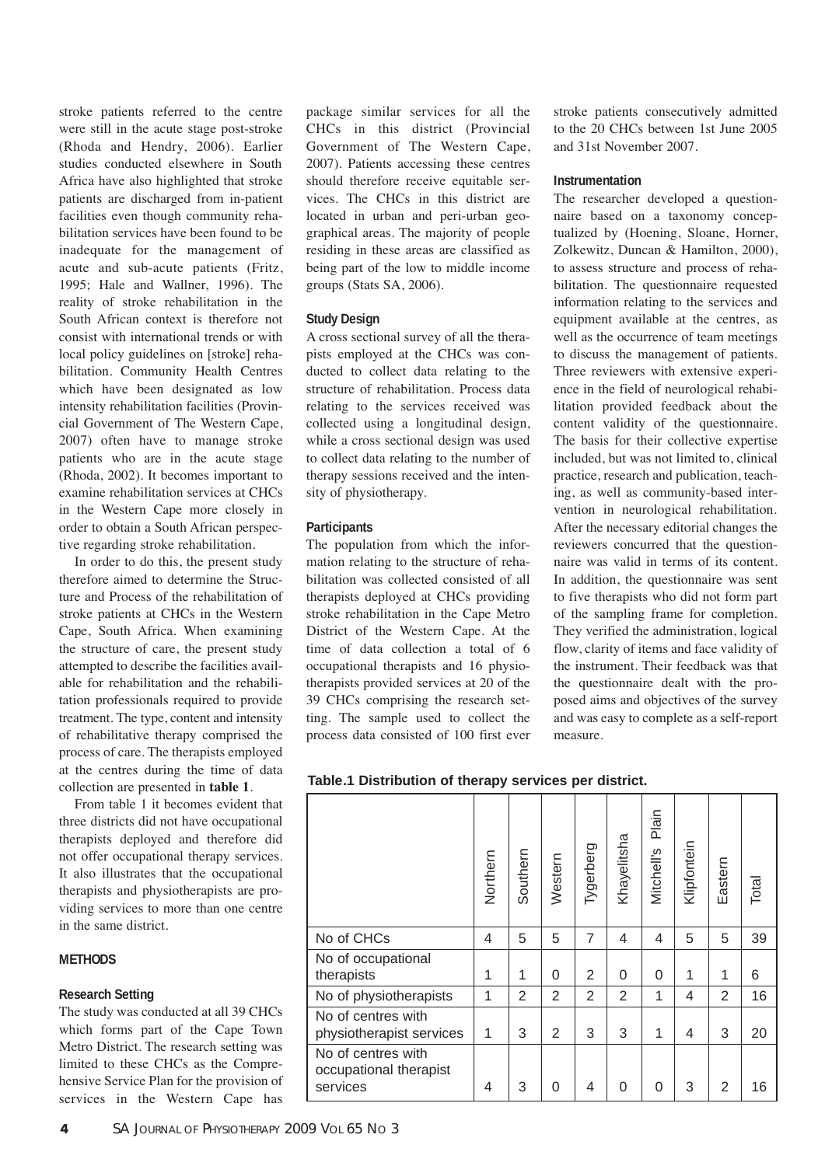stroke patients referred to the centre were still in the acute stage post-stroke (Rhoda and Hendry, 2006). Earlier studies conducted elsewhere in South Africa have also highlighted that stroke patients are discharged from in-patient facilities even though community rehabilitation services have been found to be inadequate for the management of acute and sub-acute patients (Fritz, 1995; Hale and Wallner, 1996). The reality of stroke rehabilitation in the South African context is therefore not consist with international trends or with local policy guidelines on [stroke] rehabilitation. Community Health Centres which have been designated as low intensity rehabilitation facilities (Provincial Government of The Western Cape, 2007) often have to manage stroke patients who are in the acute stage (Rhoda, 2002). It becomes important to examine rehabilitation services at CHCs in the Western Cape more closely in order to obtain a South African perspective regarding stroke rehabilitation.

In order to do this, the present study therefore aimed to determine the Structure and Process of the rehabilitation of stroke patients at CHCs in the Western Cape, South Africa. When examining the structure of care, the present study attempted to describe the facilities available for rehabilitation and the rehabilitation professionals required to provide treatment. The type, content and intensity of rehabilitative therapy comprised the process of care. The therapists employed at the centres during the time of data collection are presented in **table 1**.

From table 1 it becomes evident that three districts did not have occupational therapists deployed and therefore did not offer occupational therapy services. It also illustrates that the occupational therapists and physiotherapists are providing services to more than one centre in the same district.

#### **METHODS**

## **Research Setting**

The study was conducted at all 39 CHCs which forms part of the Cape Town Metro District. The research setting was limited to these CHCs as the Comprehensive Service Plan for the provision of services in the Western Cape has

package similar services for all the CHCs in this district (Provincial Government of The Western Cape, 2007). Patients accessing these centres should therefore receive equitable services. The CHCs in this district are located in urban and peri-urban geographical areas. The majority of people residing in these areas are classified as being part of the low to middle income groups (Stats SA, 2006).

## **Study Design**

A cross sectional survey of all the therapists employed at the CHCs was conducted to collect data relating to the structure of rehabilitation. Process data relating to the services received was collected using a longitudinal design, while a cross sectional design was used to collect data relating to the number of therapy sessions received and the intensity of physiotherapy.

## **Participants**

The population from which the information relating to the structure of rehabilitation was collected consisted of all therapists deployed at CHCs providing stroke rehabilitation in the Cape Metro District of the Western Cape. At the time of data collection a total of 6 occupational therapists and 16 physiotherapists provided services at 20 of the 39 CHCs comprising the research setting. The sample used to collect the process data consisted of 100 first ever

stroke patients consecutively admitted to the 20 CHCs between 1st June 2005 and 31st November 2007.

#### **Instrumentation**

The researcher developed a questionnaire based on a taxonomy conceptualized by (Hoening, Sloane, Horner, Zolkewitz, Duncan & Hamilton, 2000), to assess structure and process of rehabilitation. The questionnaire requested information relating to the services and equipment available at the centres, as well as the occurrence of team meetings to discuss the management of patients. Three reviewers with extensive experience in the field of neurological rehabilitation provided feedback about the content validity of the questionnaire. The basis for their collective expertise included, but was not limited to, clinical practice, research and publication, teaching, as well as community-based intervention in neurological rehabilitation. After the necessary editorial changes the reviewers concurred that the questionnaire was valid in terms of its content. In addition, the questionnaire was sent to five therapists who did not form part of the sampling frame for completion. They verified the administration, logical flow, clarity of items and face validity of the instrument. Their feedback was that the questionnaire dealt with the proposed aims and objectives of the survey and was easy to complete as a self-report measure.

**Table.1 Distribution of therapy services per district.**

|                                                          | Northern | Southern       | Western        | Tygerberg      | Khayelitsha    | Plain<br>Mitchell's | Klipfontein | Eastern        | Total |
|----------------------------------------------------------|----------|----------------|----------------|----------------|----------------|---------------------|-------------|----------------|-------|
| No of CHCs                                               | 4        | 5              | 5              | $\overline{7}$ | 4              | 4                   | 5           | 5              | 39    |
| No of occupational<br>therapists                         | 1        | 1              | 0              | 2              | 0              | 0                   | 1           | 1              | 6     |
| No of physiotherapists                                   | 1        | $\overline{2}$ | 2              | $\overline{2}$ | $\overline{2}$ | $\mathbf 1$         | 4           | $\overline{2}$ | 16    |
| No of centres with<br>physiotherapist services           | 1        | 3              | $\overline{2}$ | 3              | 3              | 1                   | 4           | 3              | 20    |
| No of centres with<br>occupational therapist<br>services | 4        | 3              | $\Omega$       | 4              | 0              | 0                   | 3           | 2              | 16    |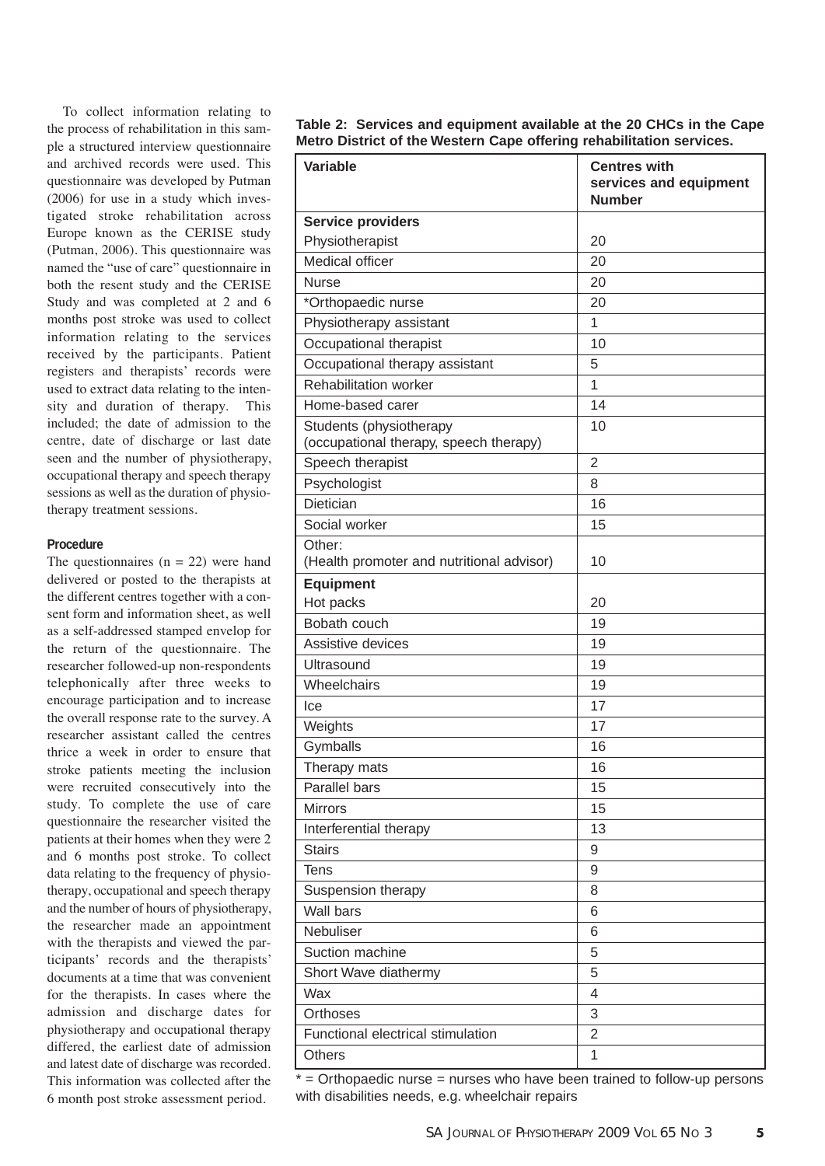To collect information relating to the process of rehabilitation in this sample a structured interview questionnaire and archived records were used. This questionnaire was developed by Putman  $(2006)$  for use in a study which investigated stroke rehabilitation across Europe known as the CERISE study (Putman, 2006). This questionnaire was named the "use of care" questionnaire in both the resent study and the CERISE Study and was completed at 2 and 6 months post stroke was used to collect information relating to the services received by the participants. Patient registers and therapists' records were used to extract data relating to the intensity and duration of therapy. This included; the date of admission to the centre, date of discharge or last date seen and the number of physiotherapy, occupational therapy and speech therapy sessions as well as the duration of physiotherapy treatment sessions.

#### **Procedure**

The questionnaires  $(n = 22)$  were hand delivered or posted to the therapists at the different centres together with a consent form and information sheet, as well as a self-addressed stamped envelop for the return of the questionnaire. The researcher followed-up non-respondents telephonically after three weeks to encourage participation and to increase the overall response rate to the survey. A researcher assistant called the centres thrice a week in order to ensure that stroke patients meeting the inclusion were recruited consecutively into the study. To complete the use of care questionnaire the researcher visited the patients at their homes when they were 2 and 6 months post stroke. To collect data relating to the frequency of physiotherapy, occupational and speech therapy and the number of hours of physiotherapy, the researcher made an appointment with the therapists and viewed the participants' records and the therapists' documents at a time that was convenient for the therapists. In cases where the admission and discharge dates for physio therapy and occupational therapy differed, the earliest date of admission and latest date of discharge was recorded. This information was collected after the 6 month post stroke assessment period.

**Table 2: Services and equipment available at the 20 CHCs in the Cape Metro District of the Western Cape offering rehabilitation services.**

| <b>Service providers</b><br>Physiotherapist<br>20<br>Medical officer<br>20<br><b>Nurse</b><br>20<br>*Orthopaedic nurse<br>20<br>Physiotherapy assistant<br>$\mathbf{1}$<br>Occupational therapist<br>10<br>5<br>Occupational therapy assistant<br><b>Rehabilitation worker</b><br>$\overline{1}$<br>Home-based carer<br>14<br>Students (physiotherapy<br>10<br>(occupational therapy, speech therapy)<br>Speech therapist<br>$\overline{2}$<br>Psychologist<br>8<br>Dietician<br>16<br>Social worker<br>15<br>Other:<br>(Health promoter and nutritional advisor)<br>10<br><b>Equipment</b><br>Hot packs<br>20<br>Bobath couch<br>19<br>Assistive devices<br>19<br>19<br>Ultrasound<br>Wheelchairs<br>19<br>17<br>Ice<br>Weights<br>17<br>Gymballs<br>16<br>Therapy mats<br>16<br>Parallel bars<br>15<br><b>Mirrors</b><br>15<br>Interferential therapy<br>13<br><b>Stairs</b><br>9<br><b>Tens</b><br>9<br>Suspension therapy<br>8<br>Wall bars<br>6<br>Nebuliser<br>6<br>Suction machine<br>5<br>5<br>Short Wave diathermy<br>Wax<br>4<br>Orthoses<br>3<br>$\overline{2}$<br>Functional electrical stimulation | Variable | <b>Centres with</b><br>services and equipment<br><b>Number</b> |
|-----------------------------------------------------------------------------------------------------------------------------------------------------------------------------------------------------------------------------------------------------------------------------------------------------------------------------------------------------------------------------------------------------------------------------------------------------------------------------------------------------------------------------------------------------------------------------------------------------------------------------------------------------------------------------------------------------------------------------------------------------------------------------------------------------------------------------------------------------------------------------------------------------------------------------------------------------------------------------------------------------------------------------------------------------------------------------------------------------------------|----------|----------------------------------------------------------------|
|                                                                                                                                                                                                                                                                                                                                                                                                                                                                                                                                                                                                                                                                                                                                                                                                                                                                                                                                                                                                                                                                                                                 |          |                                                                |
|                                                                                                                                                                                                                                                                                                                                                                                                                                                                                                                                                                                                                                                                                                                                                                                                                                                                                                                                                                                                                                                                                                                 |          |                                                                |
|                                                                                                                                                                                                                                                                                                                                                                                                                                                                                                                                                                                                                                                                                                                                                                                                                                                                                                                                                                                                                                                                                                                 |          |                                                                |
|                                                                                                                                                                                                                                                                                                                                                                                                                                                                                                                                                                                                                                                                                                                                                                                                                                                                                                                                                                                                                                                                                                                 |          |                                                                |
|                                                                                                                                                                                                                                                                                                                                                                                                                                                                                                                                                                                                                                                                                                                                                                                                                                                                                                                                                                                                                                                                                                                 |          |                                                                |
|                                                                                                                                                                                                                                                                                                                                                                                                                                                                                                                                                                                                                                                                                                                                                                                                                                                                                                                                                                                                                                                                                                                 |          |                                                                |
|                                                                                                                                                                                                                                                                                                                                                                                                                                                                                                                                                                                                                                                                                                                                                                                                                                                                                                                                                                                                                                                                                                                 |          |                                                                |
|                                                                                                                                                                                                                                                                                                                                                                                                                                                                                                                                                                                                                                                                                                                                                                                                                                                                                                                                                                                                                                                                                                                 |          |                                                                |
|                                                                                                                                                                                                                                                                                                                                                                                                                                                                                                                                                                                                                                                                                                                                                                                                                                                                                                                                                                                                                                                                                                                 |          |                                                                |
|                                                                                                                                                                                                                                                                                                                                                                                                                                                                                                                                                                                                                                                                                                                                                                                                                                                                                                                                                                                                                                                                                                                 |          |                                                                |
|                                                                                                                                                                                                                                                                                                                                                                                                                                                                                                                                                                                                                                                                                                                                                                                                                                                                                                                                                                                                                                                                                                                 |          |                                                                |
|                                                                                                                                                                                                                                                                                                                                                                                                                                                                                                                                                                                                                                                                                                                                                                                                                                                                                                                                                                                                                                                                                                                 |          |                                                                |
|                                                                                                                                                                                                                                                                                                                                                                                                                                                                                                                                                                                                                                                                                                                                                                                                                                                                                                                                                                                                                                                                                                                 |          |                                                                |
|                                                                                                                                                                                                                                                                                                                                                                                                                                                                                                                                                                                                                                                                                                                                                                                                                                                                                                                                                                                                                                                                                                                 |          |                                                                |
|                                                                                                                                                                                                                                                                                                                                                                                                                                                                                                                                                                                                                                                                                                                                                                                                                                                                                                                                                                                                                                                                                                                 |          |                                                                |
|                                                                                                                                                                                                                                                                                                                                                                                                                                                                                                                                                                                                                                                                                                                                                                                                                                                                                                                                                                                                                                                                                                                 |          |                                                                |
|                                                                                                                                                                                                                                                                                                                                                                                                                                                                                                                                                                                                                                                                                                                                                                                                                                                                                                                                                                                                                                                                                                                 |          |                                                                |
|                                                                                                                                                                                                                                                                                                                                                                                                                                                                                                                                                                                                                                                                                                                                                                                                                                                                                                                                                                                                                                                                                                                 |          |                                                                |
|                                                                                                                                                                                                                                                                                                                                                                                                                                                                                                                                                                                                                                                                                                                                                                                                                                                                                                                                                                                                                                                                                                                 |          |                                                                |
|                                                                                                                                                                                                                                                                                                                                                                                                                                                                                                                                                                                                                                                                                                                                                                                                                                                                                                                                                                                                                                                                                                                 |          |                                                                |
|                                                                                                                                                                                                                                                                                                                                                                                                                                                                                                                                                                                                                                                                                                                                                                                                                                                                                                                                                                                                                                                                                                                 |          |                                                                |
|                                                                                                                                                                                                                                                                                                                                                                                                                                                                                                                                                                                                                                                                                                                                                                                                                                                                                                                                                                                                                                                                                                                 |          |                                                                |
|                                                                                                                                                                                                                                                                                                                                                                                                                                                                                                                                                                                                                                                                                                                                                                                                                                                                                                                                                                                                                                                                                                                 |          |                                                                |
|                                                                                                                                                                                                                                                                                                                                                                                                                                                                                                                                                                                                                                                                                                                                                                                                                                                                                                                                                                                                                                                                                                                 |          |                                                                |
|                                                                                                                                                                                                                                                                                                                                                                                                                                                                                                                                                                                                                                                                                                                                                                                                                                                                                                                                                                                                                                                                                                                 |          |                                                                |
|                                                                                                                                                                                                                                                                                                                                                                                                                                                                                                                                                                                                                                                                                                                                                                                                                                                                                                                                                                                                                                                                                                                 |          |                                                                |
|                                                                                                                                                                                                                                                                                                                                                                                                                                                                                                                                                                                                                                                                                                                                                                                                                                                                                                                                                                                                                                                                                                                 |          |                                                                |
|                                                                                                                                                                                                                                                                                                                                                                                                                                                                                                                                                                                                                                                                                                                                                                                                                                                                                                                                                                                                                                                                                                                 |          |                                                                |
|                                                                                                                                                                                                                                                                                                                                                                                                                                                                                                                                                                                                                                                                                                                                                                                                                                                                                                                                                                                                                                                                                                                 |          |                                                                |
|                                                                                                                                                                                                                                                                                                                                                                                                                                                                                                                                                                                                                                                                                                                                                                                                                                                                                                                                                                                                                                                                                                                 |          |                                                                |
|                                                                                                                                                                                                                                                                                                                                                                                                                                                                                                                                                                                                                                                                                                                                                                                                                                                                                                                                                                                                                                                                                                                 |          |                                                                |
|                                                                                                                                                                                                                                                                                                                                                                                                                                                                                                                                                                                                                                                                                                                                                                                                                                                                                                                                                                                                                                                                                                                 |          |                                                                |
|                                                                                                                                                                                                                                                                                                                                                                                                                                                                                                                                                                                                                                                                                                                                                                                                                                                                                                                                                                                                                                                                                                                 |          |                                                                |
|                                                                                                                                                                                                                                                                                                                                                                                                                                                                                                                                                                                                                                                                                                                                                                                                                                                                                                                                                                                                                                                                                                                 |          |                                                                |
|                                                                                                                                                                                                                                                                                                                                                                                                                                                                                                                                                                                                                                                                                                                                                                                                                                                                                                                                                                                                                                                                                                                 |          |                                                                |
|                                                                                                                                                                                                                                                                                                                                                                                                                                                                                                                                                                                                                                                                                                                                                                                                                                                                                                                                                                                                                                                                                                                 |          |                                                                |
|                                                                                                                                                                                                                                                                                                                                                                                                                                                                                                                                                                                                                                                                                                                                                                                                                                                                                                                                                                                                                                                                                                                 |          |                                                                |
|                                                                                                                                                                                                                                                                                                                                                                                                                                                                                                                                                                                                                                                                                                                                                                                                                                                                                                                                                                                                                                                                                                                 |          |                                                                |
|                                                                                                                                                                                                                                                                                                                                                                                                                                                                                                                                                                                                                                                                                                                                                                                                                                                                                                                                                                                                                                                                                                                 |          |                                                                |
|                                                                                                                                                                                                                                                                                                                                                                                                                                                                                                                                                                                                                                                                                                                                                                                                                                                                                                                                                                                                                                                                                                                 | Others   | 1                                                              |

 $*$  = Orthopaedic nurse = nurses who have been trained to follow-up persons with disabilities needs, e.g. wheelchair repairs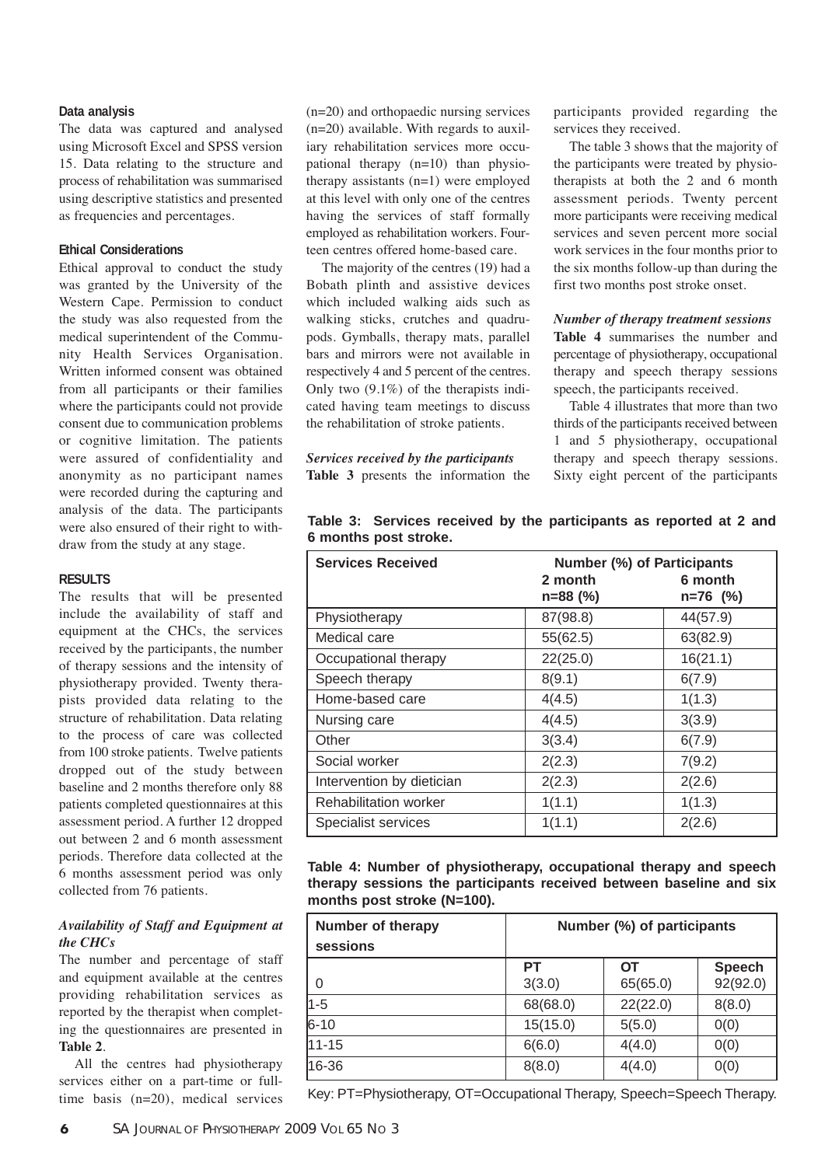#### **Data analysis**

The data was captured and analysed using Microsoft Excel and SPSS version 15. Data relating to the structure and process of rehabilitation was summarised using descriptive statistics and presented as frequencies and percentages.

## **Ethical Considerations**

Ethical approval to conduct the study was granted by the University of the Western Cape. Permission to conduct the study was also requested from the medical superintendent of the Community Health Services Organisation. Written informed consent was obtained from all participants or their families where the participants could not provide consent due to communication problems or cognitive limitation. The patients were assured of confidentiality and anonymity as no participant names were recorded during the capturing and analysis of the data. The participants were also ensured of their right to withdraw from the study at any stage.

#### **RESULTS**

The results that will be presented include the availability of staff and equipment at the CHCs, the services received by the participants, the number of therapy sessions and the intensity of physiotherapy provided. Twenty therapists provided data relating to the structure of rehabilitation. Data relating to the process of care was collected from 100 stroke patients. Twelve patients dropped out of the study between baseline and 2 months therefore only 88 patients completed questionnaires at this assessment period. A further 12 dropped out between 2 and 6 month assessment periods. Therefore data collected at the 6 months assessment period was only collected from 76 patients.

## *Availability of Staff and Equipment at the CHCs*

The number and percentage of staff and equipment available at the centres providing rehabilitation services as reported by the therapist when completing the questionnaires are presented in **Table 2**.

All the centres had physiotherapy services either on a part-time or fulltime basis (n=20), medical services (n=20) and orthopaedic nursing services (n=20) available. With regards to auxiliary rehabilitation services more occupational therapy  $(n=10)$  than physiotherapy assistants (n=1) were employed at this level with only one of the centres having the services of staff formally employed as rehabilitation workers. Fourteen centres offered home-based care.

The majority of the centres (19) had a Bobath plinth and assistive devices which included walking aids such as walking sticks, crutches and quadrupods. Gymballs, therapy mats, parallel bars and mirrors were not available in respectively 4 and 5 percent of the centres. Only two  $(9.1\%)$  of the therapists indicated having team meetings to discuss the rehabilitation of stroke patients.

*Services received by the participants* **Table 3** presents the information the participants provided regarding the services they received.

The table 3 shows that the majority of the participants were treated by physiotherapists at both the 2 and 6 month assessment periods. Twenty percent more participants were receiving medical services and seven percent more social work services in the four months prior to the six months follow-up than during the first two months post stroke onset.

#### *Number of therapy treatment sessions*

**Table 4** summarises the number and percentage of physiotherapy, occupational therapy and speech therapy sessions speech, the participants received.

Table 4 illustrates that more than two thirds of the participants received between 1 and 5 physiotherapy, occupational therapy and speech therapy sessions. Sixty eight percent of the participants

|                       |  |  | Table 3: Services received by the participants as reported at 2 and |  |  |  |
|-----------------------|--|--|---------------------------------------------------------------------|--|--|--|
| 6 months post stroke. |  |  |                                                                     |  |  |  |

| <b>Services Received</b>     | <b>Number (%) of Participants</b> |                       |  |
|------------------------------|-----------------------------------|-----------------------|--|
|                              | 2 month<br>$n=88$ (%)             | 6 month<br>$n=76$ (%) |  |
|                              |                                   |                       |  |
| Physiotherapy                | 87(98.8)                          | 44(57.9)              |  |
| Medical care                 | 55(62.5)                          | 63(82.9)              |  |
| Occupational therapy         | 22(25.0)                          | 16(21.1)              |  |
| Speech therapy               | 8(9.1)                            | 6(7.9)                |  |
| Home-based care              | 4(4.5)                            | 1(1.3)                |  |
| Nursing care                 | 4(4.5)                            | 3(3.9)                |  |
| Other                        | 3(3.4)                            | 6(7.9)                |  |
| Social worker                | 2(2.3)                            | 7(9.2)                |  |
| Intervention by dietician    | 2(2.3)                            | 2(2.6)                |  |
| <b>Rehabilitation worker</b> | 1(1.1)                            | 1(1.3)                |  |
| Specialist services          | 1(1.1)                            | 2(2.6)                |  |

|                             | Table 4: Number of physiotherapy, occupational therapy and speech   |  |  |
|-----------------------------|---------------------------------------------------------------------|--|--|
|                             | therapy sessions the participants received between baseline and six |  |  |
| months post stroke (N=100). |                                                                     |  |  |

| <b>Number of therapy</b><br>sessions | Number (%) of participants |                |                           |  |  |
|--------------------------------------|----------------------------|----------------|---------------------------|--|--|
| -0                                   | PT<br>3(3.0)               | ОT<br>65(65.0) | <b>Speech</b><br>92(92.0) |  |  |
| $\sqrt{1-5}$                         | 68(68.0)                   | 22(22.0)       | 8(8.0)                    |  |  |
| $6 - 10$                             | 15(15.0)                   | 5(5.0)         | 0(0)                      |  |  |
| 11-15                                | 6(6.0)                     | 4(4.0)         | 0(0)                      |  |  |
| 16-36                                | 8(8.0)                     | 4(4.0)         | 0(0)                      |  |  |

Key: PT=Physiotherapy, OT=Occupational Therapy, Speech=Speech Therapy.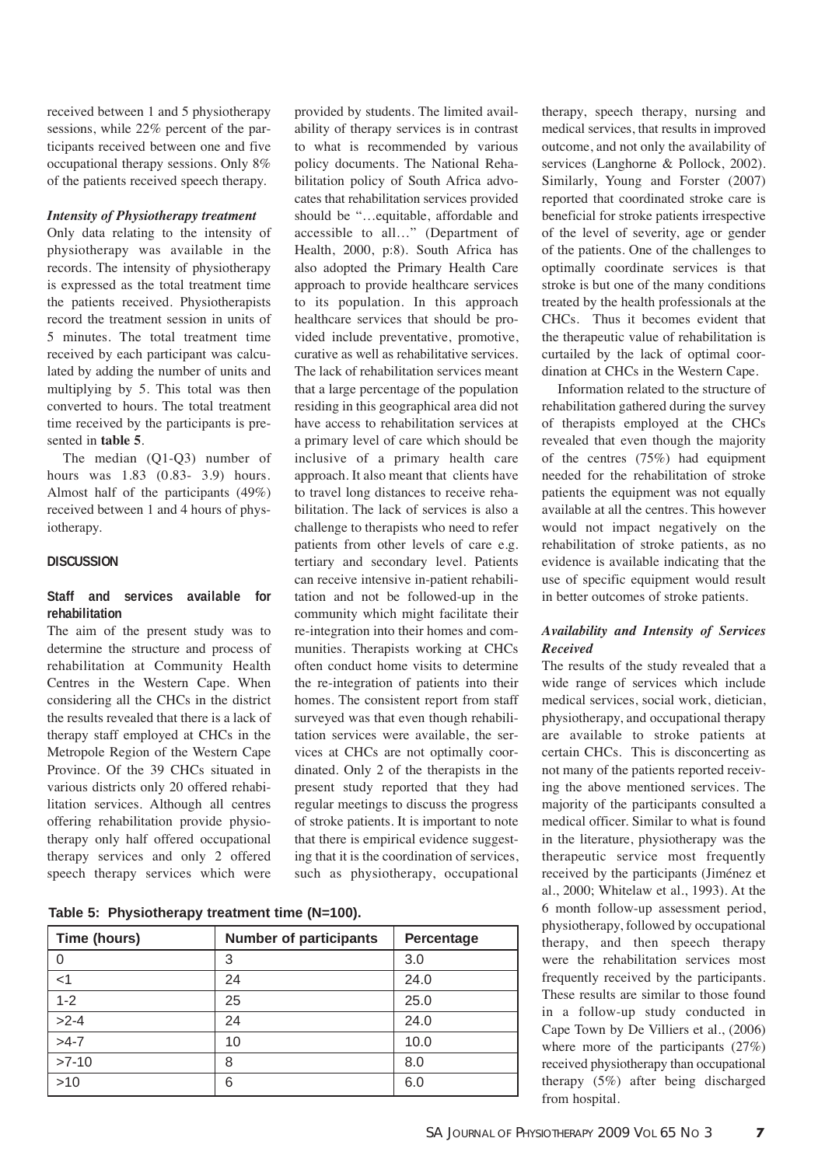received between 1 and 5 physiotherapy sessions, while 22% percent of the participants received between one and five occupational therapy sessions. Only 8% of the patients received speech therapy.

#### *Intensity of Physiotherapy treatment*

Only data relating to the intensity of physiotherapy was available in the records. The intensity of physiotherapy is expressed as the total treatment time the patients received. Physiotherapists record the treatment session in units of 5 minutes. The total treatment time received by each participant was calculated by adding the number of units and multiplying by 5. This total was then converted to hours. The total treatment time received by the participants is presented in **table 5**.

The median (Q1-Q3) number of hours was 1.83 (0.83- 3.9) hours. Almost half of the participants (49%) received between 1 and 4 hours of physiotherapy.

## **DISCUSSION**

# **Staff and services available for rehabilitation**

The aim of the present study was to determine the structure and process of rehabilitation at Community Health Centres in the Western Cape. When considering all the CHCs in the district the results revealed that there is a lack of therapy staff employed at CHCs in the Metropole Region of the Western Cape Province. Of the 39 CHCs situated in various districts only 20 offered rehabilitation services. Although all centres offering rehabilitation provide physiotherapy only half offered occupational therapy services and only 2 offered speech therapy services which were

to what is recommended by various policy documents. The National Rehabilitation policy of South Africa advocates that rehabilitation services provided should be "…equitable, affordable and accessible to all…" (Department of Health, 2000, p:8). South Africa has also adopted the Primary Health Care approach to provide healthcare services to its population. In this approach healthcare services that should be provided include preventative, promotive, curative as well as rehabilitative services. The lack of rehabilitation services meant that a large percentage of the population residing in this geographical area did not have access to rehabilitation services at a primary level of care which should be inclusive of a primary health care approach. It also meant that clients have to travel long distances to receive rehabilitation. The lack of services is also a challenge to therapists who need to refer patients from other levels of care e.g. tertiary and secondary level. Patients can receive intensive in-patient rehabilitation and not be followed-up in the community which might facilitate their re-integration into their homes and communities. Therapists working at CHCs often conduct home visits to determine the re-integration of patients into their homes. The consistent report from staff surveyed was that even though rehabilitation services were available, the services at CHCs are not optimally coordinated. Only 2 of the therapists in the present study reported that they had regular meetings to discuss the progress of stroke patients. It is important to note that there is empirical evidence suggesting that it is the coordination of services, such as physiotherapy, occupational

provided by students. The limited availability of therapy services is in contrast

**Table 5: Physiotherapy treatment time (N=100).**

| Time (hours) | <b>Number of participants</b> | Percentage |
|--------------|-------------------------------|------------|
| 0            | 3                             | 3.0        |
| $<$ 1        | 24                            | 24.0       |
| $1 - 2$      | 25                            | 25.0       |
| $>2-4$       | 24                            | 24.0       |
| $>4-7$       | 10                            | 10.0       |
| $>7-10$      | 8                             | 8.0        |
| $>10$        | 6                             | 6.0        |

therapy, speech therapy, nursing and medical services, that results in improved outcome, and not only the availability of services (Langhorne & Pollock, 2002). Similarly, Young and Forster (2007) reported that coordinated stroke care is beneficial for stroke patients irrespective of the level of severity, age or gender of the patients. One of the challenges to optimally coordinate services is that stroke is but one of the many conditions treated by the health professionals at the CHCs. Thus it becomes evident that the therapeutic value of rehabilitation is curtailed by the lack of optimal coordination at CHCs in the Western Cape.

Information related to the structure of rehabilitation gathered during the survey of therapists employed at the CHCs revealed that even though the majority of the centres (75%) had equipment needed for the rehabilitation of stroke patients the equipment was not equally available at all the centres. This however would not impact negatively on the rehabilitation of stroke patients, as no evidence is available indicating that the use of specific equipment would result in better outcomes of stroke patients.

# *Availability and Intensity of Services Received*

The results of the study revealed that a wide range of services which include medical services, social work, dietician, physiotherapy, and occupational therapy are available to stroke patients at certain CHCs. This is disconcerting as not many of the patients reported receiving the above mentioned services. The majority of the participants consulted a medical officer. Similar to what is found in the literature, physiotherapy was the therapeutic service most frequently received by the participants (Jiménez et al., 2000; Whitelaw et al., 1993). At the 6 month follow-up assessment period, physiotherapy, followed by occupational therapy, and then speech therapy were the rehabilitation services most frequently received by the participants. These results are similar to those found in a follow-up study conducted in Cape Town by De Villiers et al., (2006) where more of the participants (27%) received physiotherapy than occupational therapy (5%) after being discharged from hospital.